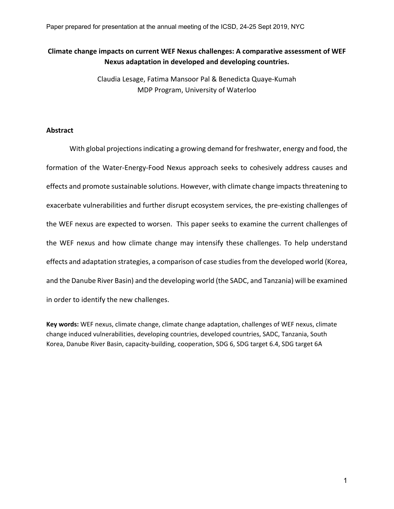Paper prepared for presentation at the annual meeting of the ICSD, 24-25 Sept 2019, NYC

## **Climate change impacts on current WEF Nexus challenges: A comparative assessment of WEF Nexus adaptation in developed and developing countries.**

Claudia Lesage, Fatima Mansoor Pal & Benedicta Quaye-Kumah MDP Program, University of Waterloo

## **Abstract**

With global projections indicating a growing demand for freshwater, energy and food, the formation of the Water-Energy-Food Nexus approach seeks to cohesively address causes and effects and promote sustainable solutions. However, with climate change impacts threatening to exacerbate vulnerabilities and further disrupt ecosystem services, the pre-existing challenges of the WEF nexus are expected to worsen. This paper seeks to examine the current challenges of the WEF nexus and how climate change may intensify these challenges. To help understand effects and adaptation strategies, a comparison of case studies from the developed world (Korea, and the Danube River Basin) and the developing world (the SADC, and Tanzania) will be examined in order to identify the new challenges.

**Key words:** WEF nexus, climate change, climate change adaptation, challenges of WEF nexus, climate change induced vulnerabilities, developing countries, developed countries, SADC, Tanzania, South Korea, Danube River Basin, capacity-building, cooperation, SDG 6, SDG target 6.4, SDG target 6A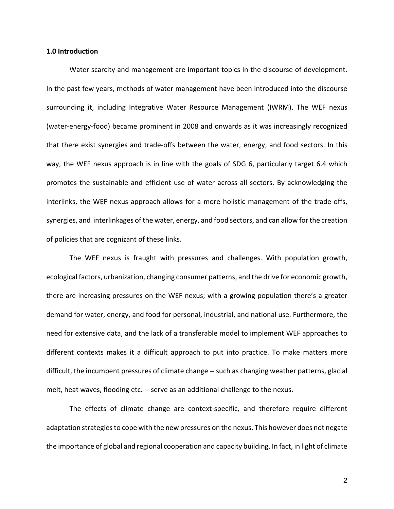## **1.0 Introduction**

Water scarcity and management are important topics in the discourse of development. In the past few years, methods of water management have been introduced into the discourse surrounding it, including Integrative Water Resource Management (IWRM). The WEF nexus (water-energy-food) became prominent in 2008 and onwards as it was increasingly recognized that there exist synergies and trade-offs between the water, energy, and food sectors. In this way, the WEF nexus approach is in line with the goals of SDG 6, particularly target 6.4 which promotes the sustainable and efficient use of water across all sectors. By acknowledging the interlinks, the WEF nexus approach allows for a more holistic management of the trade-offs, synergies, and interlinkages of the water, energy, and food sectors, and can allow for the creation of policies that are cognizant of these links.

The WEF nexus is fraught with pressures and challenges. With population growth, ecological factors, urbanization, changing consumer patterns, and the drive for economic growth, there are increasing pressures on the WEF nexus; with a growing population there's a greater demand for water, energy, and food for personal, industrial, and national use. Furthermore, the need for extensive data, and the lack of a transferable model to implement WEF approaches to different contexts makes it a difficult approach to put into practice. To make matters more difficult, the incumbent pressures of climate change -- such as changing weather patterns, glacial melt, heat waves, flooding etc. -- serve as an additional challenge to the nexus.

The effects of climate change are context-specific, and therefore require different adaptation strategies to cope with the new pressures on the nexus. This however does not negate the importance of global and regional cooperation and capacity building. In fact, in light of climate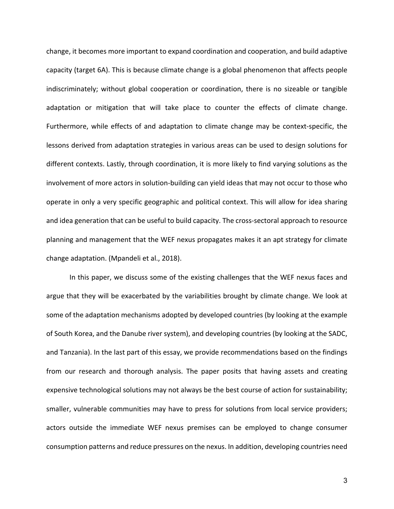change, it becomes more important to expand coordination and cooperation, and build adaptive capacity (target 6A). This is because climate change is a global phenomenon that affects people indiscriminately; without global cooperation or coordination, there is no sizeable or tangible adaptation or mitigation that will take place to counter the effects of climate change. Furthermore, while effects of and adaptation to climate change may be context-specific, the lessons derived from adaptation strategies in various areas can be used to design solutions for different contexts. Lastly, through coordination, it is more likely to find varying solutions as the involvement of more actors in solution-building can yield ideas that may not occur to those who operate in only a very specific geographic and political context. This will allow for idea sharing and idea generation that can be useful to build capacity. The cross-sectoral approach to resource planning and management that the WEF nexus propagates makes it an apt strategy for climate change adaptation. (Mpandeli et al., 2018).

In this paper, we discuss some of the existing challenges that the WEF nexus faces and argue that they will be exacerbated by the variabilities brought by climate change. We look at some of the adaptation mechanisms adopted by developed countries (by looking at the example of South Korea, and the Danube river system), and developing countries (by looking at the SADC, and Tanzania). In the last part of this essay, we provide recommendations based on the findings from our research and thorough analysis. The paper posits that having assets and creating expensive technological solutions may not always be the best course of action for sustainability; smaller, vulnerable communities may have to press for solutions from local service providers; actors outside the immediate WEF nexus premises can be employed to change consumer consumption patterns and reduce pressures on the nexus. In addition, developing countries need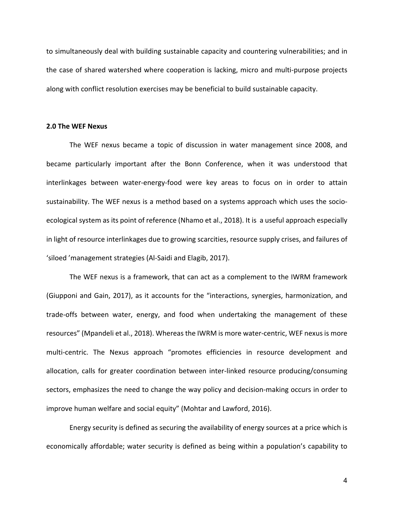to simultaneously deal with building sustainable capacity and countering vulnerabilities; and in the case of shared watershed where cooperation is lacking, micro and multi-purpose projects along with conflict resolution exercises may be beneficial to build sustainable capacity.

## **2.0 The WEF Nexus**

The WEF nexus became a topic of discussion in water management since 2008, and became particularly important after the Bonn Conference, when it was understood that interlinkages between water-energy-food were key areas to focus on in order to attain sustainability. The WEF nexus is a method based on a systems approach which uses the socioecological system as its point of reference (Nhamo et al., 2018). It is a useful approach especially in light of resource interlinkages due to growing scarcities, resource supply crises, and failures of 'siloed 'management strategies (Al-Saidi and Elagib, 2017).

The WEF nexus is a framework, that can act as a complement to the IWRM framework (Giupponi and Gain, 2017), as it accounts for the "interactions, synergies, harmonization, and trade-offs between water, energy, and food when undertaking the management of these resources" (Mpandeli et al., 2018). Whereas the IWRM is more water-centric, WEF nexus is more multi-centric. The Nexus approach "promotes efficiencies in resource development and allocation, calls for greater coordination between inter-linked resource producing/consuming sectors, emphasizes the need to change the way policy and decision-making occurs in order to improve human welfare and social equity" (Mohtar and Lawford, 2016).

Energy security is defined as securing the availability of energy sources at a price which is economically affordable; water security is defined as being within a population's capability to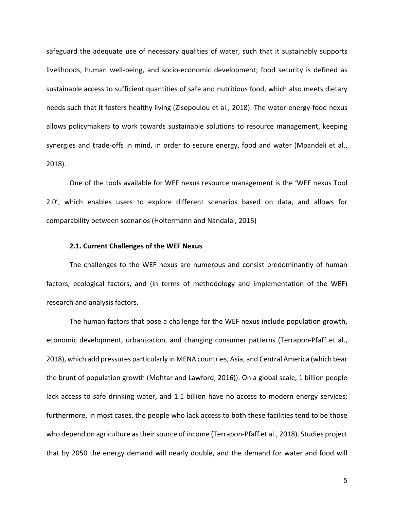safeguard the adequate use of necessary qualities of water, such that it sustainably supports livelihoods, human well-being, and socio-economic development; food security is defined as sustainable access to sufficient quantities of safe and nutritious food, which also meets dietary needs such that it fosters healthy living (Zisopoulou et al., 2018). The water-energy-food nexus allows policymakers to work towards sustainable solutions to resource management, keeping synergies and trade-offs in mind, in order to secure energy, food and water (Mpandeli et al., 2018).

One of the tools available for WEF nexus resource management is the 'WEF nexus Tool 2.0', which enables users to explore different scenarios based on data, and allows for comparability between scenarios (Holtermann and Nandalal, 2015)

## **2.1. Current Challenges of the WEF Nexus**

The challenges to the WEF nexus are numerous and consist predominantly of human factors, ecological factors, and (in terms of methodology and implementation of the WEF) research and analysis factors.

The human factors that pose a challenge for the WEF nexus include population growth, economic development, urbanization, and changing consumer patterns (Terrapon-Pfaff et al., 2018), which add pressures particularly in MENA countries, Asia, and Central America (which bear the brunt of population growth (Mohtar and Lawford, 2016)). On a global scale, 1 billion people lack access to safe drinking water, and 1.1 billion have no access to modern energy services; furthermore, in most cases, the people who lack access to both these facilities tend to be those who depend on agriculture as their source of income (Terrapon-Pfaff et al., 2018). Studies project that by 2050 the energy demand will nearly double, and the demand for water and food will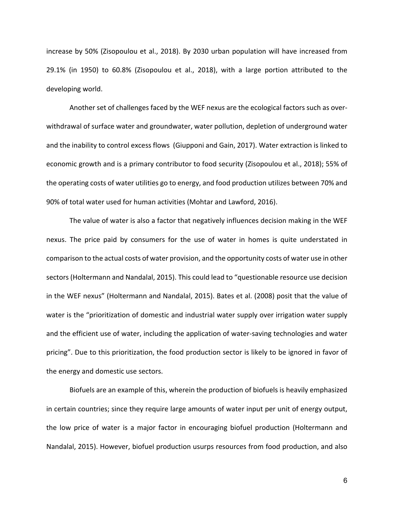increase by 50% (Zisopoulou et al., 2018). By 2030 urban population will have increased from 29.1% (in 1950) to 60.8% (Zisopoulou et al., 2018), with a large portion attributed to the developing world.

Another set of challenges faced by the WEF nexus are the ecological factors such as overwithdrawal of surface water and groundwater, water pollution, depletion of underground water and the inability to control excess flows (Giupponi and Gain, 2017). Water extraction is linked to economic growth and is a primary contributor to food security (Zisopoulou et al., 2018); 55% of the operating costs of water utilities go to energy, and food production utilizes between 70% and 90% of total water used for human activities (Mohtar and Lawford, 2016).

The value of water is also a factor that negatively influences decision making in the WEF nexus. The price paid by consumers for the use of water in homes is quite understated in comparison to the actual costs of water provision, and the opportunity costs of water use in other sectors (Holtermann and Nandalal, 2015). This could lead to "questionable resource use decision in the WEF nexus" (Holtermann and Nandalal, 2015). Bates et al. (2008) posit that the value of water is the "prioritization of domestic and industrial water supply over irrigation water supply and the efficient use of water, including the application of water-saving technologies and water pricing". Due to this prioritization, the food production sector is likely to be ignored in favor of the energy and domestic use sectors.

Biofuels are an example of this, wherein the production of biofuels is heavily emphasized in certain countries; since they require large amounts of water input per unit of energy output, the low price of water is a major factor in encouraging biofuel production (Holtermann and Nandalal, 2015). However, biofuel production usurps resources from food production, and also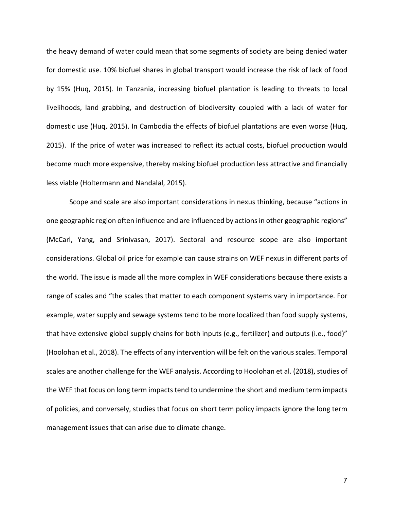the heavy demand of water could mean that some segments of society are being denied water for domestic use. 10% biofuel shares in global transport would increase the risk of lack of food by 15% (Huq, 2015). In Tanzania, increasing biofuel plantation is leading to threats to local livelihoods, land grabbing, and destruction of biodiversity coupled with a lack of water for domestic use (Huq, 2015). In Cambodia the effects of biofuel plantations are even worse (Huq, 2015). If the price of water was increased to reflect its actual costs, biofuel production would become much more expensive, thereby making biofuel production less attractive and financially less viable (Holtermann and Nandalal, 2015).

Scope and scale are also important considerations in nexus thinking, because "actions in one geographic region often influence and are influenced by actions in other geographic regions" (McCarl, Yang, and Srinivasan, 2017). Sectoral and resource scope are also important considerations. Global oil price for example can cause strains on WEF nexus in different parts of the world. The issue is made all the more complex in WEF considerations because there exists a range of scales and "the scales that matter to each component systems vary in importance. For example, water supply and sewage systems tend to be more localized than food supply systems, that have extensive global supply chains for both inputs (e.g., fertilizer) and outputs (i.e., food)" (Hoolohan et al., 2018). The effects of any intervention will be felt on the various scales. Temporal scales are another challenge for the WEF analysis. According to Hoolohan et al. (2018), studies of the WEF that focus on long term impacts tend to undermine the short and medium term impacts of policies, and conversely, studies that focus on short term policy impacts ignore the long term management issues that can arise due to climate change.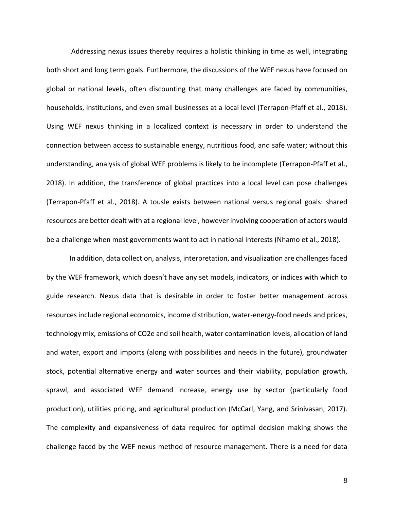Addressing nexus issues thereby requires a holistic thinking in time as well, integrating both short and long term goals. Furthermore, the discussions of the WEF nexus have focused on global or national levels, often discounting that many challenges are faced by communities, households, institutions, and even small businesses at a local level (Terrapon-Pfaff et al., 2018). Using WEF nexus thinking in a localized context is necessary in order to understand the connection between access to sustainable energy, nutritious food, and safe water; without this understanding, analysis of global WEF problems is likely to be incomplete (Terrapon-Pfaff et al., 2018). In addition, the transference of global practices into a local level can pose challenges (Terrapon-Pfaff et al., 2018). A tousle exists between national versus regional goals: shared resources are better dealt with at a regional level, however involving cooperation of actors would be a challenge when most governments want to act in national interests (Nhamo et al., 2018).

In addition, data collection, analysis, interpretation, and visualization are challenges faced by the WEF framework, which doesn't have any set models, indicators, or indices with which to guide research. Nexus data that is desirable in order to foster better management across resources include regional economics, income distribution, water-energy-food needs and prices, technology mix, emissions of CO2e and soil health, water contamination levels, allocation of land and water, export and imports (along with possibilities and needs in the future), groundwater stock, potential alternative energy and water sources and their viability, population growth, sprawl, and associated WEF demand increase, energy use by sector (particularly food production), utilities pricing, and agricultural production (McCarl, Yang, and Srinivasan, 2017). The complexity and expansiveness of data required for optimal decision making shows the challenge faced by the WEF nexus method of resource management. There is a need for data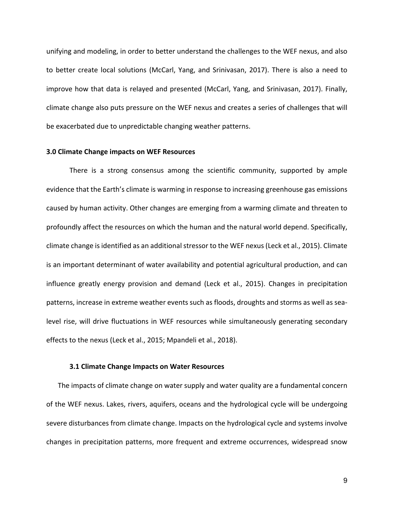unifying and modeling, in order to better understand the challenges to the WEF nexus, and also to better create local solutions (McCarl, Yang, and Srinivasan, 2017). There is also a need to improve how that data is relayed and presented (McCarl, Yang, and Srinivasan, 2017). Finally, climate change also puts pressure on the WEF nexus and creates a series of challenges that will be exacerbated due to unpredictable changing weather patterns.

## **3.0 Climate Change impacts on WEF Resources**

There is a strong consensus among the scientific community, supported by ample evidence that the Earth's climate is warming in response to increasing greenhouse gas emissions caused by human activity. Other changes are emerging from a warming climate and threaten to profoundly affect the resources on which the human and the natural world depend. Specifically, climate change is identified as an additional stressor to the WEF nexus (Leck et al., 2015). Climate is an important determinant of water availability and potential agricultural production, and can influence greatly energy provision and demand (Leck et al., 2015). Changes in precipitation patterns, increase in extreme weather events such as floods, droughts and storms as well as sealevel rise, will drive fluctuations in WEF resources while simultaneously generating secondary effects to the nexus (Leck et al., 2015; Mpandeli et al., 2018).

#### **3.1 Climate Change Impacts on Water Resources**

The impacts of climate change on water supply and water quality are a fundamental concern of the WEF nexus. Lakes, rivers, aquifers, oceans and the hydrological cycle will be undergoing severe disturbances from climate change. Impacts on the hydrological cycle and systems involve changes in precipitation patterns, more frequent and extreme occurrences, widespread snow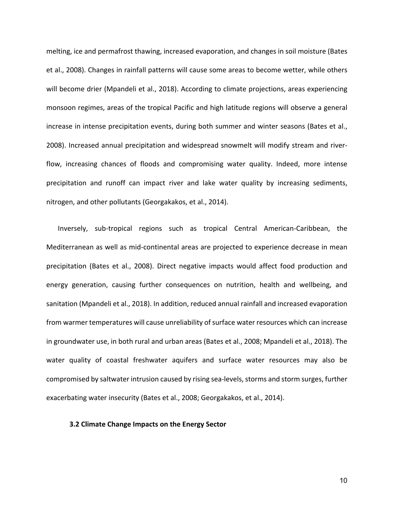melting, ice and permafrost thawing, increased evaporation, and changes in soil moisture (Bates et al., 2008). Changes in rainfall patterns will cause some areas to become wetter, while others will become drier (Mpandeli et al., 2018). According to climate projections, areas experiencing monsoon regimes, areas of the tropical Pacific and high latitude regions will observe a general increase in intense precipitation events, during both summer and winter seasons (Bates et al., 2008). Increased annual precipitation and widespread snowmelt will modify stream and riverflow, increasing chances of floods and compromising water quality. Indeed, more intense precipitation and runoff can impact river and lake water quality by increasing sediments, nitrogen, and other pollutants (Georgakakos, et al., 2014).

Inversely, sub-tropical regions such as tropical Central American-Caribbean, the Mediterranean as well as mid-continental areas are projected to experience decrease in mean precipitation (Bates et al., 2008). Direct negative impacts would affect food production and energy generation, causing further consequences on nutrition, health and wellbeing, and sanitation (Mpandeli et al., 2018). In addition, reduced annual rainfall and increased evaporation from warmer temperatures will cause unreliability of surface water resources which can increase in groundwater use, in both rural and urban areas (Bates et al., 2008; Mpandeli et al., 2018). The water quality of coastal freshwater aquifers and surface water resources may also be compromised by saltwater intrusion caused by rising sea-levels, storms and storm surges, further exacerbating water insecurity (Bates et al., 2008; Georgakakos, et al., 2014).

## **3.2 Climate Change Impacts on the Energy Sector**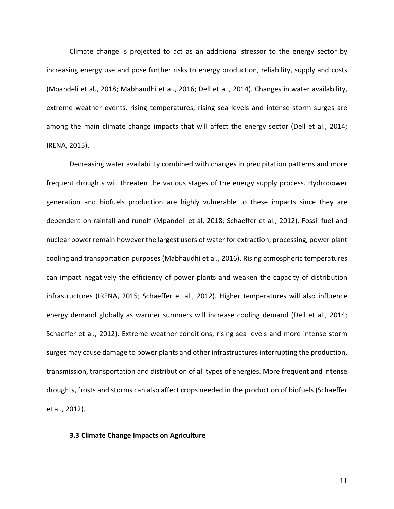Climate change is projected to act as an additional stressor to the energy sector by increasing energy use and pose further risks to energy production, reliability, supply and costs (Mpandeli et al., 2018; Mabhaudhi et al., 2016; Dell et al., 2014). Changes in water availability, extreme weather events, rising temperatures, rising sea levels and intense storm surges are among the main climate change impacts that will affect the energy sector (Dell et al., 2014; IRENA, 2015).

Decreasing water availability combined with changes in precipitation patterns and more frequent droughts will threaten the various stages of the energy supply process. Hydropower generation and biofuels production are highly vulnerable to these impacts since they are dependent on rainfall and runoff (Mpandeli et al, 2018; Schaeffer et al., 2012). Fossil fuel and nuclear power remain however the largest users of water for extraction, processing, power plant cooling and transportation purposes (Mabhaudhi et al., 2016). Rising atmospheric temperatures can impact negatively the efficiency of power plants and weaken the capacity of distribution infrastructures (IRENA, 2015; Schaeffer et al., 2012). Higher temperatures will also influence energy demand globally as warmer summers will increase cooling demand (Dell et al., 2014; Schaeffer et al., 2012). Extreme weather conditions, rising sea levels and more intense storm surges may cause damage to power plants and other infrastructures interrupting the production, transmission, transportation and distribution of all types of energies. More frequent and intense droughts, frosts and storms can also affect crops needed in the production of biofuels (Schaeffer et al., 2012).

## **3.3 Climate Change Impacts on Agriculture**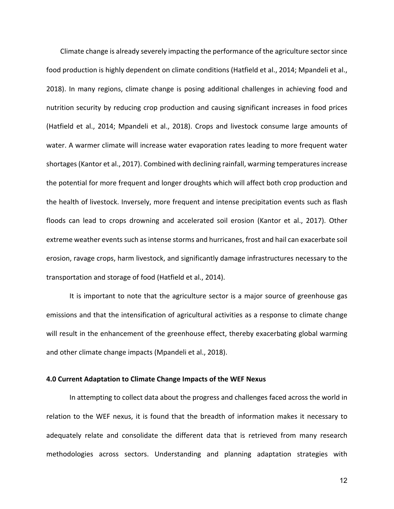Climate change is already severely impacting the performance of the agriculture sector since food production is highly dependent on climate conditions (Hatfield et al., 2014; Mpandeli et al., 2018). In many regions, climate change is posing additional challenges in achieving food and nutrition security by reducing crop production and causing significant increases in food prices (Hatfield et al., 2014; Mpandeli et al., 2018). Crops and livestock consume large amounts of water. A warmer climate will increase water evaporation rates leading to more frequent water shortages (Kantor et al., 2017). Combined with declining rainfall, warming temperatures increase the potential for more frequent and longer droughts which will affect both crop production and the health of livestock. Inversely, more frequent and intense precipitation events such as flash floods can lead to crops drowning and accelerated soil erosion (Kantor et al., 2017). Other extreme weather events such as intense storms and hurricanes, frost and hail can exacerbate soil erosion, ravage crops, harm livestock, and significantly damage infrastructures necessary to the transportation and storage of food (Hatfield et al., 2014).

It is important to note that the agriculture sector is a major source of greenhouse gas emissions and that the intensification of agricultural activities as a response to climate change will result in the enhancement of the greenhouse effect, thereby exacerbating global warming and other climate change impacts (Mpandeli et al., 2018).

## **4.0 Current Adaptation to Climate Change Impacts of the WEF Nexus**

In attempting to collect data about the progress and challenges faced across the world in relation to the WEF nexus, it is found that the breadth of information makes it necessary to adequately relate and consolidate the different data that is retrieved from many research methodologies across sectors. Understanding and planning adaptation strategies with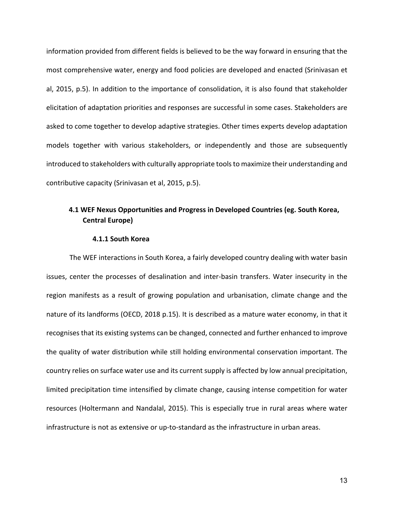information provided from different fields is believed to be the way forward in ensuring that the most comprehensive water, energy and food policies are developed and enacted (Srinivasan et al, 2015, p.5). In addition to the importance of consolidation, it is also found that stakeholder elicitation of adaptation priorities and responses are successful in some cases. Stakeholders are asked to come together to develop adaptive strategies. Other times experts develop adaptation models together with various stakeholders, or independently and those are subsequently introduced to stakeholders with culturally appropriate tools to maximize their understanding and contributive capacity (Srinivasan et al, 2015, p.5).

## **4.1 WEF Nexus Opportunities and Progress in Developed Countries (eg. South Korea, Central Europe)**

## **4.1.1 South Korea**

The WEF interactions in South Korea, a fairly developed country dealing with water basin issues, center the processes of desalination and inter-basin transfers. Water insecurity in the region manifests as a result of growing population and urbanisation, climate change and the nature of its landforms (OECD, 2018 p.15). It is described as a mature water economy, in that it recognises that its existing systems can be changed, connected and further enhanced to improve the quality of water distribution while still holding environmental conservation important. The country relies on surface water use and its current supply is affected by low annual precipitation, limited precipitation time intensified by climate change, causing intense competition for water resources (Holtermann and Nandalal, 2015). This is especially true in rural areas where water infrastructure is not as extensive or up-to-standard as the infrastructure in urban areas.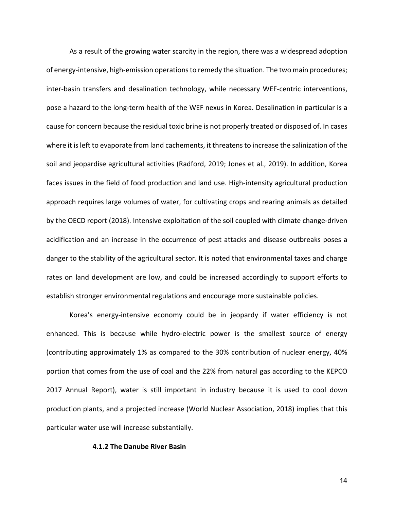As a result of the growing water scarcity in the region, there was a widespread adoption of energy-intensive, high-emission operations to remedy the situation. The two main procedures; inter-basin transfers and desalination technology, while necessary WEF-centric interventions, pose a hazard to the long-term health of the WEF nexus in Korea. Desalination in particular is a cause for concern because the residual toxic brine is not properly treated or disposed of. In cases where it is left to evaporate from land cachements, it threatens to increase the salinization of the soil and jeopardise agricultural activities (Radford, 2019; Jones et al., 2019). In addition, Korea faces issues in the field of food production and land use. High-intensity agricultural production approach requires large volumes of water, for cultivating crops and rearing animals as detailed by the OECD report (2018). Intensive exploitation of the soil coupled with climate change-driven acidification and an increase in the occurrence of pest attacks and disease outbreaks poses a danger to the stability of the agricultural sector. It is noted that environmental taxes and charge rates on land development are low, and could be increased accordingly to support efforts to establish stronger environmental regulations and encourage more sustainable policies.

Korea's energy-intensive economy could be in jeopardy if water efficiency is not enhanced. This is because while hydro-electric power is the smallest source of energy (contributing approximately 1% as compared to the 30% contribution of nuclear energy, 40% portion that comes from the use of coal and the 22% from natural gas according to the KEPCO 2017 Annual Report), water is still important in industry because it is used to cool down production plants, and a projected increase (World Nuclear Association, 2018) implies that this particular water use will increase substantially.

## **4.1.2 The Danube River Basin**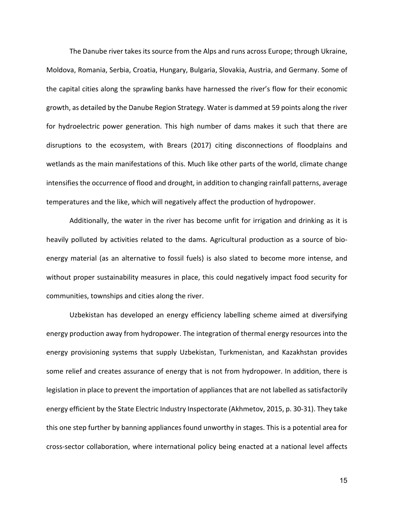The Danube river takes its source from the Alps and runs across Europe; through Ukraine, Moldova, Romania, Serbia, Croatia, Hungary, Bulgaria, Slovakia, Austria, and Germany. Some of the capital cities along the sprawling banks have harnessed the river's flow for their economic growth, as detailed by the Danube Region Strategy. Water is dammed at 59 points along the river for hydroelectric power generation. This high number of dams makes it such that there are disruptions to the ecosystem, with Brears (2017) citing disconnections of floodplains and wetlands as the main manifestations of this. Much like other parts of the world, climate change intensifies the occurrence of flood and drought, in addition to changing rainfall patterns, average temperatures and the like, which will negatively affect the production of hydropower.

Additionally, the water in the river has become unfit for irrigation and drinking as it is heavily polluted by activities related to the dams. Agricultural production as a source of bioenergy material (as an alternative to fossil fuels) is also slated to become more intense, and without proper sustainability measures in place, this could negatively impact food security for communities, townships and cities along the river.

Uzbekistan has developed an energy efficiency labelling scheme aimed at diversifying energy production away from hydropower. The integration of thermal energy resources into the energy provisioning systems that supply Uzbekistan, Turkmenistan, and Kazakhstan provides some relief and creates assurance of energy that is not from hydropower. In addition, there is legislation in place to prevent the importation of appliances that are not labelled as satisfactorily energy efficient by the State Electric Industry Inspectorate (Akhmetov, 2015, p. 30-31). They take this one step further by banning appliances found unworthy in stages. This is a potential area for cross-sector collaboration, where international policy being enacted at a national level affects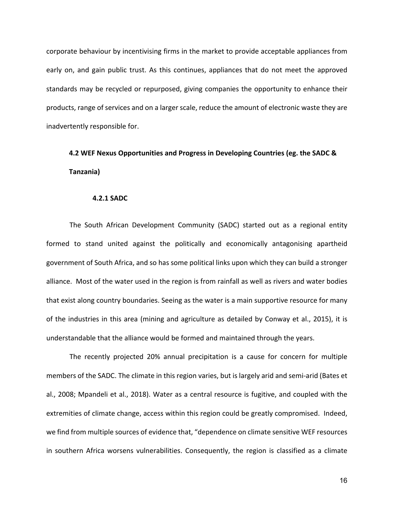corporate behaviour by incentivising firms in the market to provide acceptable appliances from early on, and gain public trust. As this continues, appliances that do not meet the approved standards may be recycled or repurposed, giving companies the opportunity to enhance their products, range of services and on a larger scale, reduce the amount of electronic waste they are inadvertently responsible for.

# **4.2 WEF Nexus Opportunities and Progress in Developing Countries (eg. the SADC &**

## **Tanzania)**

## **4.2.1 SADC**

The South African Development Community (SADC) started out as a regional entity formed to stand united against the politically and economically antagonising apartheid government of South Africa, and so has some political links upon which they can build a stronger alliance. Most of the water used in the region is from rainfall as well as rivers and water bodies that exist along country boundaries. Seeing as the water is a main supportive resource for many of the industries in this area (mining and agriculture as detailed by Conway et al., 2015), it is understandable that the alliance would be formed and maintained through the years.

The recently projected 20% annual precipitation is a cause for concern for multiple members of the SADC. The climate in this region varies, but is largely arid and semi-arid (Bates et al., 2008; Mpandeli et al., 2018). Water as a central resource is fugitive, and coupled with the extremities of climate change, access within this region could be greatly compromised. Indeed, we find from multiple sources of evidence that, "dependence on climate sensitive WEF resources in southern Africa worsens vulnerabilities. Consequently, the region is classified as a climate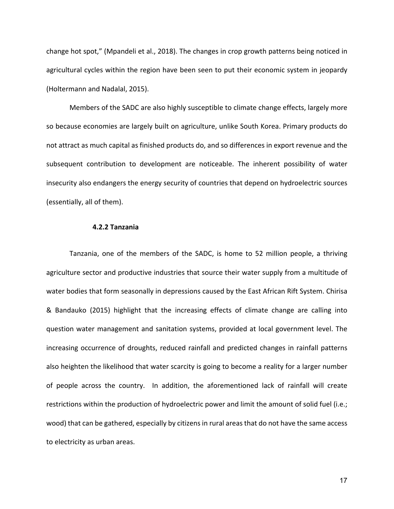change hot spot," (Mpandeli et al., 2018). The changes in crop growth patterns being noticed in agricultural cycles within the region have been seen to put their economic system in jeopardy (Holtermann and Nadalal, 2015).

Members of the SADC are also highly susceptible to climate change effects, largely more so because economies are largely built on agriculture, unlike South Korea. Primary products do not attract as much capital as finished products do, and so differences in export revenue and the subsequent contribution to development are noticeable. The inherent possibility of water insecurity also endangers the energy security of countries that depend on hydroelectric sources (essentially, all of them).

## **4.2.2 Tanzania**

Tanzania, one of the members of the SADC, is home to 52 million people, a thriving agriculture sector and productive industries that source their water supply from a multitude of water bodies that form seasonally in depressions caused by the East African Rift System. Chirisa & Bandauko (2015) highlight that the increasing effects of climate change are calling into question water management and sanitation systems, provided at local government level. The increasing occurrence of droughts, reduced rainfall and predicted changes in rainfall patterns also heighten the likelihood that water scarcity is going to become a reality for a larger number of people across the country. In addition, the aforementioned lack of rainfall will create restrictions within the production of hydroelectric power and limit the amount of solid fuel (i.e.; wood) that can be gathered, especially by citizens in rural areas that do not have the same access to electricity as urban areas.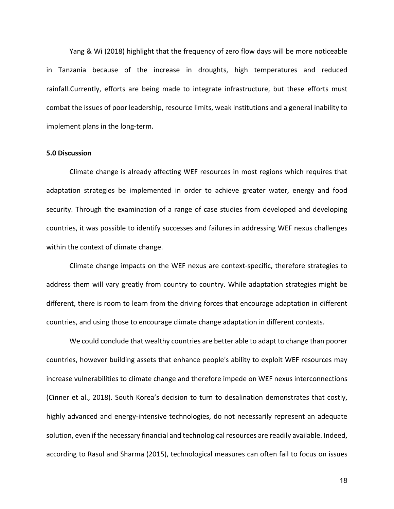Yang & Wi (2018) highlight that the frequency of zero flow days will be more noticeable in Tanzania because of the increase in droughts, high temperatures and reduced rainfall.Currently, efforts are being made to integrate infrastructure, but these efforts must combat the issues of poor leadership, resource limits, weak institutions and a general inability to implement plans in the long-term.

## **5.0 Discussion**

Climate change is already affecting WEF resources in most regions which requires that adaptation strategies be implemented in order to achieve greater water, energy and food security. Through the examination of a range of case studies from developed and developing countries, it was possible to identify successes and failures in addressing WEF nexus challenges within the context of climate change.

Climate change impacts on the WEF nexus are context-specific, therefore strategies to address them will vary greatly from country to country. While adaptation strategies might be different, there is room to learn from the driving forces that encourage adaptation in different countries, and using those to encourage climate change adaptation in different contexts.

We could conclude that wealthy countries are better able to adapt to change than poorer countries, however building assets that enhance people's ability to exploit WEF resources may increase vulnerabilities to climate change and therefore impede on WEF nexus interconnections (Cinner et al., 2018). South Korea's decision to turn to desalination demonstrates that costly, highly advanced and energy-intensive technologies, do not necessarily represent an adequate solution, even if the necessary financial and technological resources are readily available. Indeed, according to Rasul and Sharma (2015), technological measures can often fail to focus on issues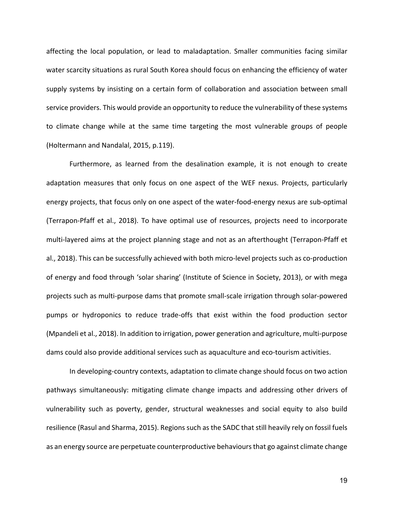affecting the local population, or lead to maladaptation. Smaller communities facing similar water scarcity situations as rural South Korea should focus on enhancing the efficiency of water supply systems by insisting on a certain form of collaboration and association between small service providers. This would provide an opportunity to reduce the vulnerability of these systems to climate change while at the same time targeting the most vulnerable groups of people (Holtermann and Nandalal, 2015, p.119).

Furthermore, as learned from the desalination example, it is not enough to create adaptation measures that only focus on one aspect of the WEF nexus. Projects, particularly energy projects, that focus only on one aspect of the water-food-energy nexus are sub-optimal (Terrapon-Pfaff et al., 2018). To have optimal use of resources, projects need to incorporate multi-layered aims at the project planning stage and not as an afterthought (Terrapon-Pfaff et al., 2018). This can be successfully achieved with both micro-level projects such as co-production of energy and food through 'solar sharing' (Institute of Science in Society, 2013), or with mega projects such as multi-purpose dams that promote small-scale irrigation through solar-powered pumps or hydroponics to reduce trade-offs that exist within the food production sector (Mpandeli et al., 2018). In addition to irrigation, power generation and agriculture, multi-purpose dams could also provide additional services such as aquaculture and eco-tourism activities.

In developing-country contexts, adaptation to climate change should focus on two action pathways simultaneously: mitigating climate change impacts and addressing other drivers of vulnerability such as poverty, gender, structural weaknesses and social equity to also build resilience (Rasul and Sharma, 2015). Regions such as the SADC that still heavily rely on fossil fuels as an energy source are perpetuate counterproductive behaviours that go against climate change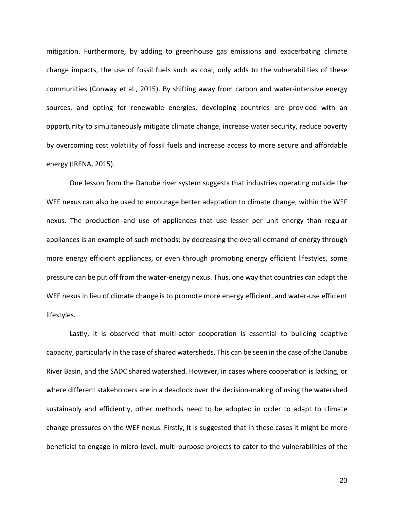mitigation. Furthermore, by adding to greenhouse gas emissions and exacerbating climate change impacts, the use of fossil fuels such as coal, only adds to the vulnerabilities of these communities (Conway et al., 2015). By shifting away from carbon and water-intensive energy sources, and opting for renewable energies, developing countries are provided with an opportunity to simultaneously mitigate climate change, increase water security, reduce poverty by overcoming cost volatility of fossil fuels and increase access to more secure and affordable energy (IRENA, 2015).

One lesson from the Danube river system suggests that industries operating outside the WEF nexus can also be used to encourage better adaptation to climate change, within the WEF nexus. The production and use of appliances that use lesser per unit energy than regular appliances is an example of such methods; by decreasing the overall demand of energy through more energy efficient appliances, or even through promoting energy efficient lifestyles, some pressure can be put off from the water-energy nexus. Thus, one way that countries can adapt the WEF nexus in lieu of climate change is to promote more energy efficient, and water-use efficient lifestyles.

Lastly, it is observed that multi-actor cooperation is essential to building adaptive capacity, particularly in the case of shared watersheds. This can be seen in the case of the Danube River Basin, and the SADC shared watershed. However, in cases where cooperation is lacking, or where different stakeholders are in a deadlock over the decision-making of using the watershed sustainably and efficiently, other methods need to be adopted in order to adapt to climate change pressures on the WEF nexus. Firstly, it is suggested that in these cases it might be more beneficial to engage in micro-level, multi-purpose projects to cater to the vulnerabilities of the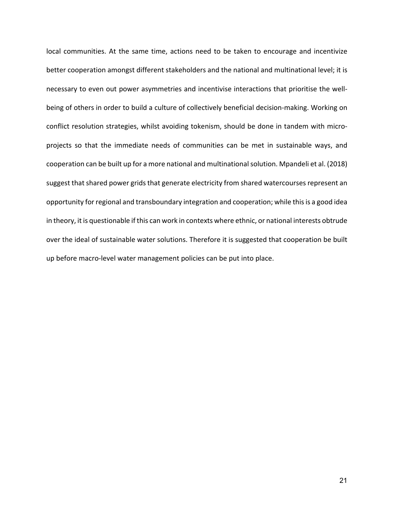local communities. At the same time, actions need to be taken to encourage and incentivize better cooperation amongst different stakeholders and the national and multinational level; it is necessary to even out power asymmetries and incentivise interactions that prioritise the wellbeing of others in order to build a culture of collectively beneficial decision-making. Working on conflict resolution strategies, whilst avoiding tokenism, should be done in tandem with microprojects so that the immediate needs of communities can be met in sustainable ways, and cooperation can be built up for a more national and multinational solution. Mpandeli et al. (2018) suggest that shared power grids that generate electricity from shared watercourses represent an opportunity for regional and transboundary integration and cooperation; while this is a good idea in theory, it is questionable if this can work in contexts where ethnic, or national interests obtrude over the ideal of sustainable water solutions. Therefore it is suggested that cooperation be built up before macro-level water management policies can be put into place.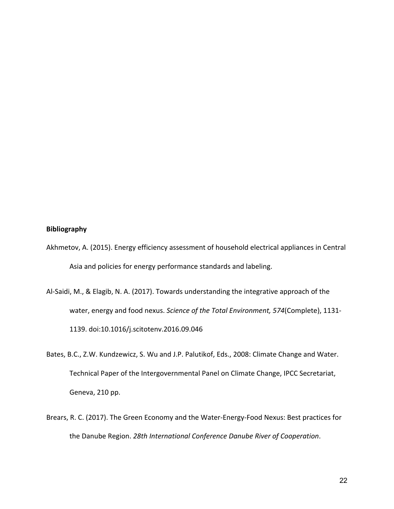## **Bibliography**

- Akhmetov, A. (2015). Energy efficiency assessment of household electrical appliances in Central Asia and policies for energy performance standards and labeling.
- Al-Saidi, M., & Elagib, N. A. (2017). Towards understanding the integrative approach of the water, energy and food nexus. *Science of the Total Environment, 574*(Complete), 1131- 1139. doi:10.1016/j.scitotenv.2016.09.046
- Bates, B.C., Z.W. Kundzewicz, S. Wu and J.P. Palutikof, Eds., 2008: Climate Change and Water. Technical Paper of the Intergovernmental Panel on Climate Change, IPCC Secretariat, Geneva, 210 pp.
- Brears, R. C. (2017). The Green Economy and the Water-Energy-Food Nexus: Best practices for the Danube Region. *28th International Conference Danube River of Cooperation*.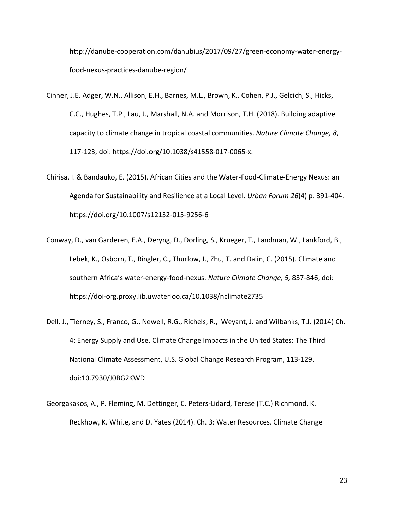http://danube-cooperation.com/danubius/2017/09/27/green-economy-water-energyfood-nexus-practices-danube-region/

- Cinner, J.E, Adger, W.N., Allison, E.H., Barnes, M.L., Brown, K., Cohen, P.J., Gelcich, S., Hicks, C.C., Hughes, T.P., Lau, J., Marshall, N.A. and Morrison, T.H. (2018). Building adaptive capacity to climate change in tropical coastal communities. *Nature Climate Change, 8*, 117-123, doi: https://doi.org/10.1038/s41558-017-0065-x.
- Chirisa, I. & Bandauko, E. (2015). African Cities and the Water-Food-Climate-Energy Nexus: an Agenda for Sustainability and Resilience at a Local Level. *Urban Forum 26*(4) p. 391-404. https://doi.org/10.1007/s12132-015-9256-6
- Conway, D., van Garderen, E.A., Deryng, D., Dorling, S., Krueger, T., Landman, W., Lankford, B., Lebek, K., Osborn, T., Ringler, C., Thurlow, J., Zhu, T. and Dalin, C. (2015). Climate and southern Africa's water-energy-food-nexus. *Nature Climate Change, 5,* 837-846, doi: https://doi-org.proxy.lib.uwaterloo.ca/10.1038/nclimate2735
- Dell, J., Tierney, S., Franco, G., Newell, R.G., Richels, R., Weyant, J. and Wilbanks, T.J. (2014) Ch. 4: Energy Supply and Use. Climate Change Impacts in the United States: The Third National Climate Assessment, U.S. Global Change Research Program, 113-129. doi:10.7930/J0BG2KWD
- Georgakakos, A., P. Fleming, M. Dettinger, C. Peters-Lidard, Terese (T.C.) Richmond, K. Reckhow, K. White, and D. Yates (2014). Ch. 3: Water Resources. Climate Change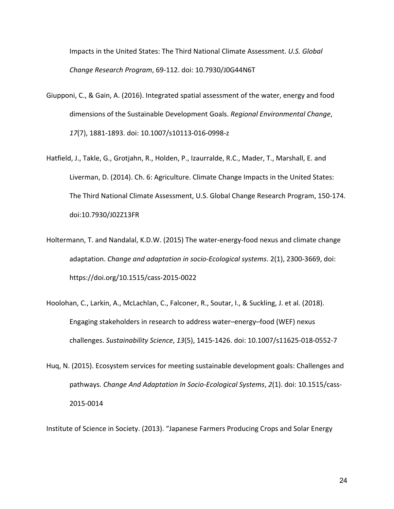Impacts in the United States: The Third National Climate Assessment. *U.S. Global Change Research Program*, 69-112. doi: 10.7930/J0G44N6T

- Giupponi, C., & Gain, A. (2016). Integrated spatial assessment of the water, energy and food dimensions of the Sustainable Development Goals. *Regional Environmental Change*, *17*(7), 1881-1893. doi: 10.1007/s10113-016-0998-z
- Hatfield, J., Takle, G., Grotjahn, R., Holden, P., Izaurralde, R.C., Mader, T., Marshall, E. and Liverman, D. (2014). Ch. 6: Agriculture. Climate Change Impacts in the United States: The Third National Climate Assessment, U.S. Global Change Research Program, 150-174. doi:10.7930/J02Z13FR
- Holtermann, T. and Nandalal, K.D.W. (2015) The water-energy-food nexus and climate change adaptation. *Change and adaptation in socio-Ecological systems*. 2(1), 2300-3669, doi: https://doi.org/10.1515/cass-2015-0022
- Hoolohan, C., Larkin, A., McLachlan, C., Falconer, R., Soutar, I., & Suckling, J. et al. (2018). Engaging stakeholders in research to address water–energy–food (WEF) nexus challenges. *Sustainability Science*, *13*(5), 1415-1426. doi: 10.1007/s11625-018-0552-7
- Huq, N. (2015). Ecosystem services for meeting sustainable development goals: Challenges and pathways. *Change And Adaptation In Socio-Ecological Systems*, *2*(1). doi: 10.1515/cass-2015-0014

Institute of Science in Society. (2013). "Japanese Farmers Producing Crops and Solar Energy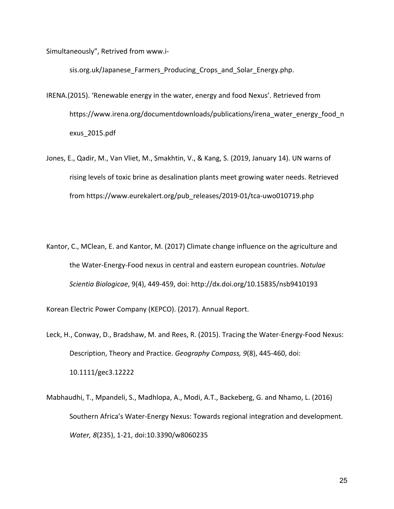Simultaneously", Retrived from www.i-

sis.org.uk/Japanese\_Farmers\_Producing\_Crops\_and\_Solar\_Energy.php.

- IRENA.(2015). 'Renewable energy in the water, energy and food Nexus'. Retrieved from https://www.irena.org/documentdownloads/publications/irena\_water\_energy\_food\_n exus\_2015.pdf
- Jones, E., Qadir, M., Van Vliet, M., Smakhtin, V., & Kang, S. (2019, January 14). UN warns of rising levels of toxic brine as desalination plants meet growing water needs. Retrieved from https://www.eurekalert.org/pub\_releases/2019-01/tca-uwo010719.php
- Kantor, C., MClean, E. and Kantor, M. (2017) Climate change influence on the agriculture and the Water-Energy-Food nexus in central and eastern european countries. *Notulae Scientia Biologicae*, 9(4), 449-459, doi: http://dx.doi.org/10.15835/nsb9410193

Korean Electric Power Company (KEPCO). (2017). Annual Report.

- Leck, H., Conway, D., Bradshaw, M. and Rees, R. (2015). Tracing the Water-Energy-Food Nexus: Description, Theory and Practice. *Geography Compass, 9*(8), 445-460, doi: 10.1111/gec3.12222
- Mabhaudhi, T., Mpandeli, S., Madhlopa, A., Modi, A.T., Backeberg, G. and Nhamo, L. (2016) Southern Africa's Water-Energy Nexus: Towards regional integration and development. *Water, 8*(235), 1-21, doi:10.3390/w8060235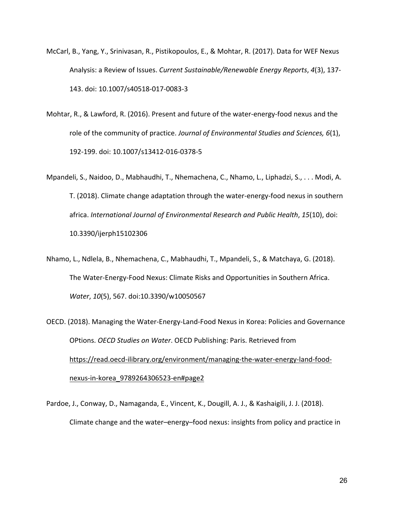- McCarl, B., Yang, Y., Srinivasan, R., Pistikopoulos, E., & Mohtar, R. (2017). Data for WEF Nexus Analysis: a Review of Issues. *Current Sustainable/Renewable Energy Reports*, *4*(3), 137- 143. doi: 10.1007/s40518-017-0083-3
- Mohtar, R., & Lawford, R. (2016). Present and future of the water-energy-food nexus and the role of the community of practice. *Journal of Environmental Studies and Sciences, 6*(1), 192-199. doi: 10.1007/s13412-016-0378-5
- Mpandeli, S., Naidoo, D., Mabhaudhi, T., Nhemachena, C., Nhamo, L., Liphadzi, S., . . . Modi, A. T. (2018). Climate change adaptation through the water-energy-food nexus in southern africa. *International Journal of Environmental Research and Public Health*, *15*(10), doi: 10.3390/ijerph15102306
- Nhamo, L., Ndlela, B., Nhemachena, C., Mabhaudhi, T., Mpandeli, S., & Matchaya, G. (2018). The Water-Energy-Food Nexus: Climate Risks and Opportunities in Southern Africa. *Water*, *10*(5), 567. doi:10.3390/w10050567
- OECD. (2018). Managing the Water-Energy-Land-Food Nexus in Korea: Policies and Governance OPtions. *OECD Studies on Water*. OECD Publishing: Paris. Retrieved from https://read.oecd-ilibrary.org/environment/managing-the-water-energy-land-foodnexus-in-korea\_9789264306523-en#page2
- Pardoe, J., Conway, D., Namaganda, E., Vincent, K., Dougill, A. J., & Kashaigili, J. J. (2018). Climate change and the water–energy–food nexus: insights from policy and practice in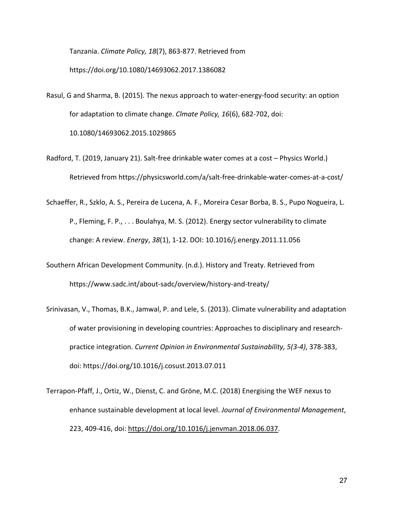Tanzania. *Climate Policy, 18*(7), 863-877. Retrieved from https://doi.org/10.1080/14693062.2017.1386082

Rasul, G and Sharma, B. (2015). The nexus approach to water-energy-food security: an option for adaptation to climate change. *Clmate Policy, 16*(6), 682-702, doi: 10.1080/14693062.2015.1029865

Radford, T. (2019, January 21). Salt-free drinkable water comes at a cost – Physics World.) Retrieved from https://physicsworld.com/a/salt-free-drinkable-water-comes-at-a-cost/

Schaeffer, R., Szklo, A. S., Pereira de Lucena, A. F., Moreira Cesar Borba, B. S., Pupo Nogueira, L. P., Fleming, F. P., . . . Boulahya, M. S. (2012). Energy sector vulnerability to climate change: A review. *Energy*, *38*(1), 1-12. DOI: 10.1016/j.energy.2011.11.056

- Southern African Development Community. (n.d.). History and Treaty. Retrieved from https://www.sadc.int/about-sadc/overview/history-and-treaty/
- Srinivasan, V., Thomas, B.K., Jamwal, P. and Lele, S. (2013). Climate vulnerability and adaptation of water provisioning in developing countries: Approaches to disciplinary and researchpractice integration. *Current Opinion in Environmental Sustainability, 5(3-4)*, 378-383, doi: https://doi.org/10.1016/j.cosust.2013.07.011
- Terrapon-Pfaff, J., Ortiz, W., Dienst, C. and Gröne, M.C. (2018) Energising the WEF nexus to enhance sustainable development at local level. *Journal of Environmental Management*, 223, 409-416, doi: https://doi.org/10.1016/j.jenvman.2018.06.037.